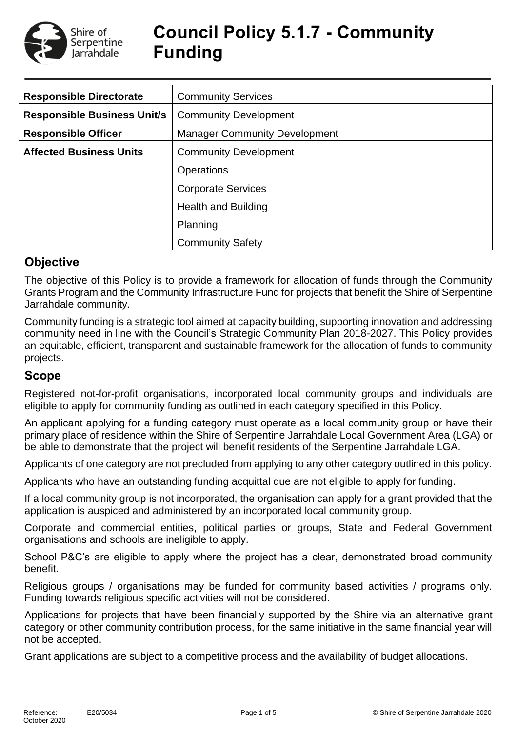

# **Council Policy 5.1.7 - Community Funding**

| <b>Responsible Directorate</b>     | <b>Community Services</b>            |  |  |  |
|------------------------------------|--------------------------------------|--|--|--|
| <b>Responsible Business Unit/s</b> | <b>Community Development</b>         |  |  |  |
| <b>Responsible Officer</b>         | <b>Manager Community Development</b> |  |  |  |
| <b>Affected Business Units</b>     | <b>Community Development</b>         |  |  |  |
|                                    | <b>Operations</b>                    |  |  |  |
|                                    | <b>Corporate Services</b>            |  |  |  |
|                                    | <b>Health and Building</b>           |  |  |  |
|                                    | Planning                             |  |  |  |
|                                    | <b>Community Safety</b>              |  |  |  |

### **Objective**

The objective of this Policy is to provide a framework for allocation of funds through the Community Grants Program and the Community Infrastructure Fund for projects that benefit the Shire of Serpentine Jarrahdale community.

Community funding is a strategic tool aimed at capacity building, supporting innovation and addressing community need in line with the Council's Strategic Community Plan 2018-2027. This Policy provides an equitable, efficient, transparent and sustainable framework for the allocation of funds to community projects.

### **Scope**

Registered not-for-profit organisations, incorporated local community groups and individuals are eligible to apply for community funding as outlined in each category specified in this Policy.

An applicant applying for a funding category must operate as a local community group or have their primary place of residence within the Shire of Serpentine Jarrahdale Local Government Area (LGA) or be able to demonstrate that the project will benefit residents of the Serpentine Jarrahdale LGA.

Applicants of one category are not precluded from applying to any other category outlined in this policy.

Applicants who have an outstanding funding acquittal due are not eligible to apply for funding.

If a local community group is not incorporated, the organisation can apply for a grant provided that the application is auspiced and administered by an incorporated local community group.

Corporate and commercial entities, political parties or groups, State and Federal Government organisations and schools are ineligible to apply.

School P&C's are eligible to apply where the project has a clear, demonstrated broad community benefit.

Religious groups / organisations may be funded for community based activities / programs only. Funding towards religious specific activities will not be considered.

Applications for projects that have been financially supported by the Shire via an alternative grant category or other community contribution process, for the same initiative in the same financial year will not be accepted.

Grant applications are subject to a competitive process and the availability of budget allocations.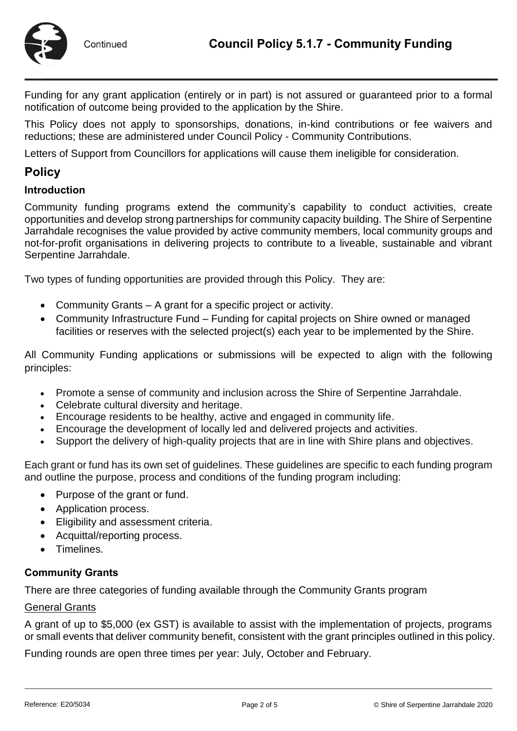

Funding for any grant application (entirely or in part) is not assured or guaranteed prior to a formal notification of outcome being provided to the application by the Shire.

This Policy does not apply to sponsorships, donations, in-kind contributions or fee waivers and reductions; these are administered under Council Policy - Community Contributions.

Letters of Support from Councillors for applications will cause them ineligible for consideration.

### **Policy**

#### **Introduction**

Community funding programs extend the community's capability to conduct activities, create opportunities and develop strong partnerships for community capacity building. The Shire of Serpentine Jarrahdale recognises the value provided by active community members, local community groups and not-for-profit organisations in delivering projects to contribute to a liveable, sustainable and vibrant Serpentine Jarrahdale.

Two types of funding opportunities are provided through this Policy. They are:

- Community Grants A grant for a specific project or activity.
- Community Infrastructure Fund Funding for capital projects on Shire owned or managed facilities or reserves with the selected project(s) each year to be implemented by the Shire.

All Community Funding applications or submissions will be expected to align with the following principles:

- Promote a sense of community and inclusion across the Shire of Serpentine Jarrahdale.
- Celebrate cultural diversity and heritage.
- Encourage residents to be healthy, active and engaged in community life.
- Encourage the development of locally led and delivered projects and activities.
- Support the delivery of high-quality projects that are in line with Shire plans and objectives.

Each grant or fund has its own set of guidelines. These guidelines are specific to each funding program and outline the purpose, process and conditions of the funding program including:

- Purpose of the grant or fund.
- Application process.
- Eligibility and assessment criteria.
- Acquittal/reporting process.
- Timelines.

#### **Community Grants**

There are three categories of funding available through the Community Grants program

#### General Grants

A grant of up to \$5,000 (ex GST) is available to assist with the implementation of projects, programs or small events that deliver community benefit, consistent with the grant principles outlined in this policy.

Funding rounds are open three times per year: July, October and February.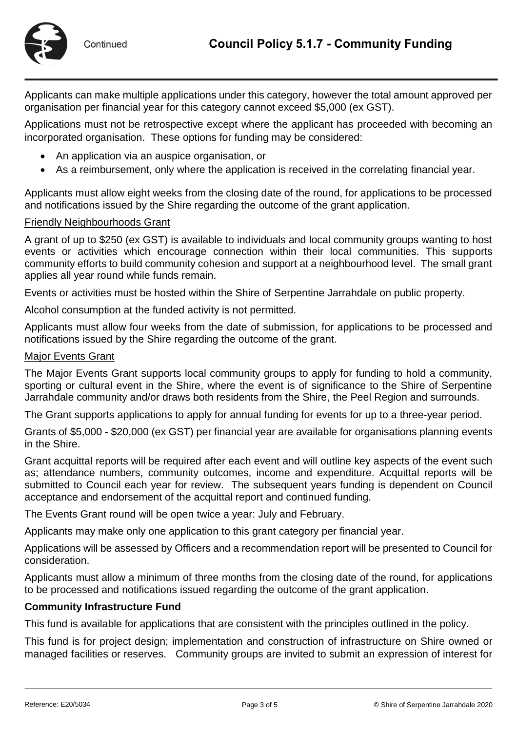

Applicants can make multiple applications under this category, however the total amount approved per organisation per financial year for this category cannot exceed \$5,000 (ex GST).

Applications must not be retrospective except where the applicant has proceeded with becoming an incorporated organisation. These options for funding may be considered:

- An application via an auspice organisation, or
- As a reimbursement, only where the application is received in the correlating financial year.

Applicants must allow eight weeks from the closing date of the round, for applications to be processed and notifications issued by the Shire regarding the outcome of the grant application.

#### Friendly Neighbourhoods Grant

A grant of up to \$250 (ex GST) is available to individuals and local community groups wanting to host events or activities which encourage connection within their local communities. This supports community efforts to build community cohesion and support at a neighbourhood level. The small grant applies all year round while funds remain.

Events or activities must be hosted within the Shire of Serpentine Jarrahdale on public property.

Alcohol consumption at the funded activity is not permitted.

Applicants must allow four weeks from the date of submission, for applications to be processed and notifications issued by the Shire regarding the outcome of the grant.

#### Major Events Grant

The Major Events Grant supports local community groups to apply for funding to hold a community, sporting or cultural event in the Shire, where the event is of significance to the Shire of Serpentine Jarrahdale community and/or draws both residents from the Shire, the Peel Region and surrounds.

The Grant supports applications to apply for annual funding for events for up to a three-year period.

Grants of \$5,000 - \$20,000 (ex GST) per financial year are available for organisations planning events in the Shire.

Grant acquittal reports will be required after each event and will outline key aspects of the event such as; attendance numbers, community outcomes, income and expenditure. Acquittal reports will be submitted to Council each year for review. The subsequent years funding is dependent on Council acceptance and endorsement of the acquittal report and continued funding.

The Events Grant round will be open twice a year: July and February.

Applicants may make only one application to this grant category per financial year.

Applications will be assessed by Officers and a recommendation report will be presented to Council for consideration.

Applicants must allow a minimum of three months from the closing date of the round, for applications to be processed and notifications issued regarding the outcome of the grant application.

#### **Community Infrastructure Fund**

This fund is available for applications that are consistent with the principles outlined in the policy.

This fund is for project design; implementation and construction of infrastructure on Shire owned or managed facilities or reserves. Community groups are invited to submit an expression of interest for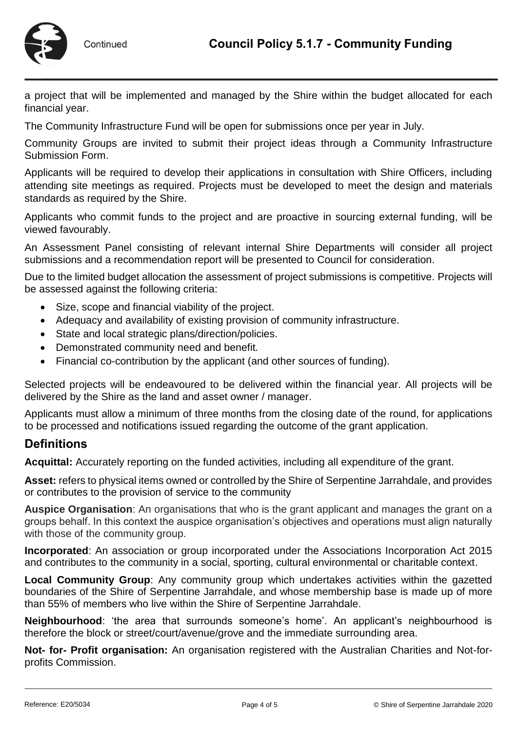

a project that will be implemented and managed by the Shire within the budget allocated for each financial year.

The Community Infrastructure Fund will be open for submissions once per year in July.

Community Groups are invited to submit their project ideas through a Community Infrastructure Submission Form.

Applicants will be required to develop their applications in consultation with Shire Officers, including attending site meetings as required. Projects must be developed to meet the design and materials standards as required by the Shire.

Applicants who commit funds to the project and are proactive in sourcing external funding, will be viewed favourably.

An Assessment Panel consisting of relevant internal Shire Departments will consider all project submissions and a recommendation report will be presented to Council for consideration.

Due to the limited budget allocation the assessment of project submissions is competitive. Projects will be assessed against the following criteria:

- Size, scope and financial viability of the project.
- Adequacy and availability of existing provision of community infrastructure.
- State and local strategic plans/direction/policies.
- Demonstrated community need and benefit.
- Financial co-contribution by the applicant (and other sources of funding).

Selected projects will be endeavoured to be delivered within the financial year. All projects will be delivered by the Shire as the land and asset owner / manager.

Applicants must allow a minimum of three months from the closing date of the round, for applications to be processed and notifications issued regarding the outcome of the grant application.

#### **Definitions**

**Acquittal:** Accurately reporting on the funded activities, including all expenditure of the grant.

**Asset:** refers to physical items owned or controlled by the Shire of Serpentine Jarrahdale, and provides or contributes to the provision of service to the community

**Auspice Organisation**: An organisations that who is the grant applicant and manages the grant on a groups behalf. In this context the auspice organisation's objectives and operations must align naturally with those of the community group.

**Incorporated**: An association or group incorporated under the Associations Incorporation Act 2015 and contributes to the community in a social, sporting, cultural environmental or charitable context.

**Local Community Group**: Any community group which undertakes activities within the gazetted boundaries of the Shire of Serpentine Jarrahdale, and whose membership base is made up of more than 55% of members who live within the Shire of Serpentine Jarrahdale.

**Neighbourhood**: 'the area that surrounds someone's home'. An applicant's neighbourhood is therefore the block or street/court/avenue/grove and the immediate surrounding area.

**Not- for- Profit organisation:** An organisation registered with the Australian Charities and Not-forprofits Commission.